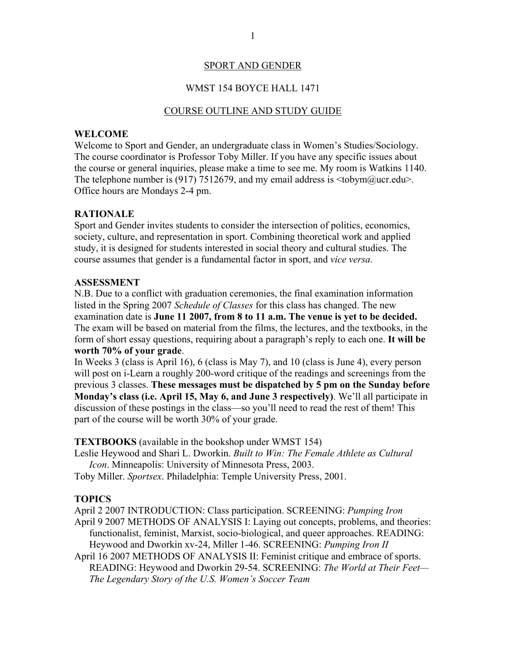## SPORT AND GENDER

## WMST 154 BOYCE HALL 1471

#### COURSE OUTLINE AND STUDY GUIDE

### **WELCOME**

Welcome to Sport and Gender, an undergraduate class in Women's Studies/Sociology. The course coordinator is Professor Toby Miller. If you have any specific issues about the course or general inquiries, please make a time to see me. My room is Watkins 1140. The telephone number is (917) 7512679, and my email address is  $\lt$ tobym@ucr.edu>. Office hours are Mondays 2-4 pm.

## **RATIONALE**

Sport and Gender invites students to consider the intersection of politics, economics, society, culture, and representation in sport. Combining theoretical work and applied study, it is designed for students interested in social theory and cultural studies. The course assumes that gender is a fundamental factor in sport, and *vice versa*.

## **ASSESSMENT**

N.B. Due to a conflict with graduation ceremonies, the final examination information listed in the Spring 2007 *Schedule of Classes* for this class has changed. The new examination date is **June 11 2007, from 8 to 11 a.m. The venue is yet to be decided.** The exam will be based on material from the films, the lectures, and the textbooks, in the form of short essay questions, requiring about a paragraph's reply to each one. **It will be worth 70% of your grade**.

In Weeks 3 (class is April 16), 6 (class is May 7), and 10 (class is June 4), every person will post on i-Learn a roughly 200-word critique of the readings and screenings from the previous 3 classes. **These messages must be dispatched by 5 pm on the Sunday before Monday's class (i.e. April 15, May 6, and June 3 respectively)**. We'll all participate in discussion of these postings in the class—so you'll need to read the rest of them! This part of the course will be worth 30% of your grade.

#### **TEXTBOOKS** (available in the bookshop under WMST 154)

Leslie Heywood and Shari L. Dworkin. *Built to Win: The Female Athlete as Cultural Icon*. Minneapolis: University of Minnesota Press, 2003.

Toby Miller. *Sportsex*. Philadelphia: Temple University Press, 2001.

#### **TOPICS**

April 2 2007 INTRODUCTION: Class participation. SCREENING: *Pumping Iron*

- April 9 2007 METHODS OF ANALYSIS I: Laying out concepts, problems, and theories: functionalist, feminist, Marxist, socio-biological, and queer approaches. READING: Heywood and Dworkin xv-24, Miller 1-46. SCREENING: *Pumping Iron II*
- April 16 2007 METHODS OF ANALYSIS II: Feminist critique and embrace of sports. READING: Heywood and Dworkin 29-54. SCREENING: *The World at Their Feet— The Legendary Story of the U.S. Women's Soccer Team*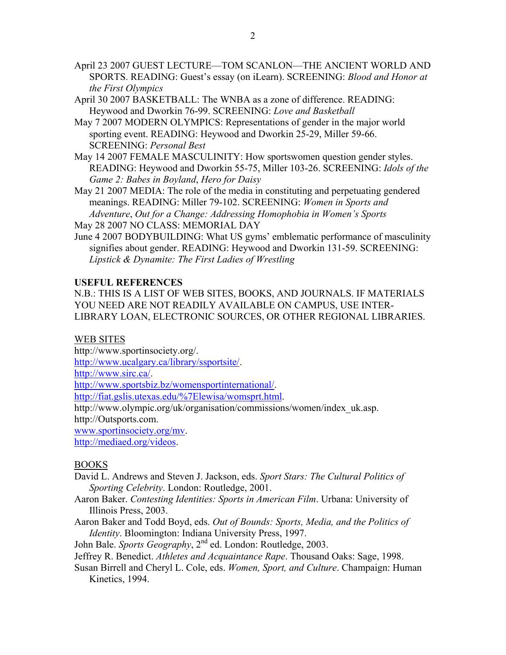- April 23 2007 GUEST LECTURE—TOM SCANLON—THE ANCIENT WORLD AND SPORTS. READING: Guest's essay (on iLearn). SCREENING: *Blood and Honor at the First Olympics*
- April 30 2007 BASKETBALL: The WNBA as a zone of difference. READING: Heywood and Dworkin 76-99. SCREENING: *Love and Basketball*
- May 7 2007 MODERN OLYMPICS: Representations of gender in the major world sporting event. READING: Heywood and Dworkin 25-29, Miller 59-66. SCREENING: *Personal Best*
- May 14 2007 FEMALE MASCULINITY: How sportswomen question gender styles. READING: Heywood and Dworkin 55-75, Miller 103-26. SCREENING: *Idols of the Game 2: Babes in Boyland*, *Hero for Daisy*
- May 21 2007 MEDIA: The role of the media in constituting and perpetuating gendered meanings. READING: Miller 79-102. SCREENING: *Women in Sports and Adventure*, *Out for a Change: Addressing Homophobia in Women's Sports*
- May 28 2007 NO CLASS: MEMORIAL DAY
- June 4 2007 BODYBUILDING: What US gyms' emblematic performance of masculinity signifies about gender. READING: Heywood and Dworkin 131-59. SCREENING: *Lipstick & Dynamite: The First Ladies of Wrestling*

# **USEFUL REFERENCES**

N.B.: THIS IS A LIST OF WEB SITES, BOOKS, AND JOURNALS. IF MATERIALS YOU NEED ARE NOT READILY AVAILABLE ON CAMPUS, USE INTER-LIBRARY LOAN, ELECTRONIC SOURCES, OR OTHER REGIONAL LIBRARIES.

## WEB SITES

http://www.sportinsociety.org/.

http://www.ucalgary.ca/library/ssportsite/.

http://www.sirc.ca/.

http://www.sportsbiz.bz/womensportinternational/.

http://fiat.gslis.utexas.edu/%7Elewisa/womsprt.html.

http://www.olympic.org/uk/organisation/commissions/women/index\_uk.asp. http://Outsports.com.

www.sportinsociety.org/mv.

http://mediaed.org/videos.

## BOOKS

- David L. Andrews and Steven J. Jackson, eds. *Sport Stars: The Cultural Politics of Sporting Celebrity*. London: Routledge, 2001.
- Aaron Baker. *Contesting Identities: Sports in American Film*. Urbana: University of Illinois Press, 2003.
- Aaron Baker and Todd Boyd, eds. *Out of Bounds: Sports, Media, and the Politics of Identity*. Bloomington: Indiana University Press, 1997.

John Bale. *Sports Geography*, 2<sup>nd</sup> ed. London: Routledge, 2003.

Jeffrey R. Benedict. *Athletes and Acquaintance Rape*. Thousand Oaks: Sage, 1998.

Susan Birrell and Cheryl L. Cole, eds. *Women, Sport, and Culture*. Champaign: Human Kinetics, 1994.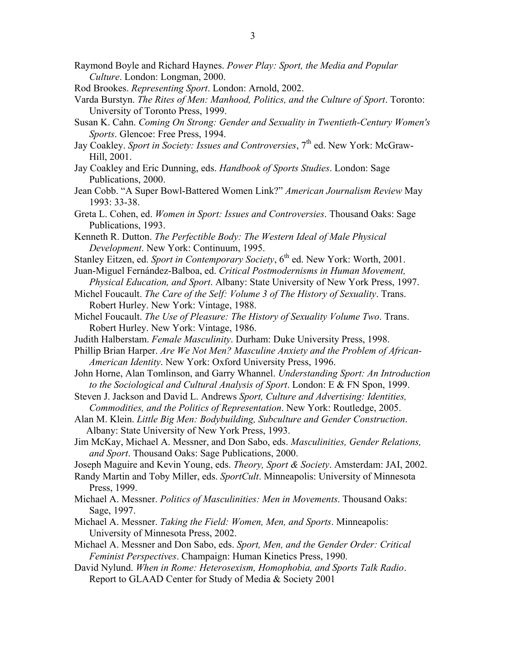- Raymond Boyle and Richard Haynes. *Power Play: Sport, the Media and Popular Culture*. London: Longman, 2000.
- Rod Brookes. *Representing Sport*. London: Arnold, 2002.
- Varda Burstyn. *The Rites of Men: Manhood, Politics, and the Culture of Sport*. Toronto: University of Toronto Press, 1999.
- Susan K. Cahn. *Coming On Strong: Gender and Sexuality in Twentieth-Century Women's Sports*. Glencoe: Free Press, 1994.
- Jay Coakley. *Sport in Society: Issues and Controversies*, 7<sup>th</sup> ed. New York: McGraw-Hill, 2001.
- Jay Coakley and Eric Dunning, eds. *Handbook of Sports Studies*. London: Sage Publications, 2000.
- Jean Cobb. "A Super Bowl-Battered Women Link?" *American Journalism Review* May 1993: 33-38.
- Greta L. Cohen, ed. *Women in Sport: Issues and Controversies*. Thousand Oaks: Sage Publications, 1993.
- Kenneth R. Dutton. *The Perfectible Body: The Western Ideal of Male Physical Development*. New York: Continuum, 1995.
- Stanley Eitzen, ed. Sport in Contemporary Society, 6<sup>th</sup> ed. New York: Worth, 2001.
- Juan-Miguel Fernández-Balboa, ed. *Critical Postmodernisms in Human Movement, Physical Education, and Sport*. Albany: State University of New York Press, 1997.
- Michel Foucault. *The Care of the Self: Volume 3 of The History of Sexuality*. Trans. Robert Hurley. New York: Vintage, 1988.
- Michel Foucault. *The Use of Pleasure: The History of Sexuality Volume Two*. Trans. Robert Hurley. New York: Vintage, 1986.
- Judith Halberstam. *Female Masculinity*. Durham: Duke University Press, 1998.
- Phillip Brian Harper. *Are We Not Men? Masculine Anxiety and the Problem of African-American Identity*. New York: Oxford University Press, 1996.
- John Horne, Alan Tomlinson, and Garry Whannel. *Understanding Sport: An Introduction to the Sociological and Cultural Analysis of Sport*. London: E & FN Spon, 1999.
- Steven J. Jackson and David L. Andrews *Sport, Culture and Advertising: Identities, Commodities, and the Politics of Representation*. New York: Routledge, 2005.
- Alan M. Klein. *Little Big Men: Bodybuilding, Subculture and Gender Construction*. Albany: State University of New York Press, 1993.
- Jim McKay, Michael A. Messner, and Don Sabo, eds. *Masculinities, Gender Relations, and Sport*. Thousand Oaks: Sage Publications, 2000.
- Joseph Maguire and Kevin Young, eds. *Theory, Sport & Society*. Amsterdam: JAI, 2002.
- Randy Martin and Toby Miller, eds. *SportCult*. Minneapolis: University of Minnesota Press, 1999.
- Michael A. Messner. *Politics of Masculinities: Men in Movements*. Thousand Oaks: Sage, 1997.
- Michael A. Messner. *Taking the Field: Women, Men, and Sports*. Minneapolis: University of Minnesota Press, 2002.
- Michael A. Messner and Don Sabo, eds. *Sport, Men, and the Gender Order: Critical Feminist Perspectives*. Champaign: Human Kinetics Press, 1990.
- David Nylund. *When in Rome: Heterosexism, Homophobia, and Sports Talk Radio*. Report to GLAAD Center for Study of Media & Society 2001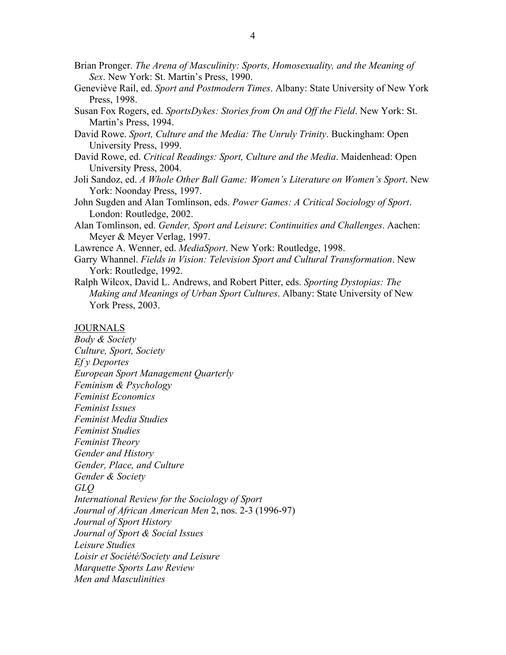- Brian Pronger. *The Arena of Masculinity: Sports, Homosexuality, and the Meaning of Sex*. New York: St. Martin's Press, 1990.
- Geneviève Rail, ed. *Sport and Postmodern Times*. Albany: State University of New York Press, 1998.
- Susan Fox Rogers, ed. *SportsDykes: Stories from On and Off the Field*. New York: St. Martin's Press, 1994.
- David Rowe. *Sport, Culture and the Media: The Unruly Trinity*. Buckingham: Open University Press, 1999.
- David Rowe, ed. *Critical Readings: Sport, Culture and the Media*. Maidenhead: Open University Press, 2004.
- Joli Sandoz, ed. *A Whole Other Ball Game: Women's Literature on Women's Sport*. New York: Noonday Press, 1997.
- John Sugden and Alan Tomlinson, eds. *Power Games: A Critical Sociology of Sport*. London: Routledge, 2002.
- Alan Tomlinson, ed. *Gender, Sport and Leisure*: *Continuities and Challenges*. Aachen: Meyer & Meyer Verlag, 1997.
- Lawrence A. Wenner, ed. *MediaSport*. New York: Routledge, 1998.
- Garry Whannel. *Fields in Vision: Television Sport and Cultural Transformation*. New York: Routledge, 1992.
- Ralph Wilcox, David L. Andrews, and Robert Pitter, eds. *Sporting Dystopias: The Making and Meanings of Urban Sport Cultures*. Albany: State University of New York Press, 2003.

#### **JOURNALS**

*Body & Society Culture, Sport, Society Ef y Deportes European Sport Management Quarterly Feminism & Psychology Feminist Economics Feminist Issues Feminist Media Studies Feminist Studies Feminist Theory Gender and History Gender, Place, and Culture Gender & Society GLQ International Review for the Sociology of Sport Journal of African American Men* 2, nos. 2-3 (1996-97) *Journal of Sport History Journal of Sport & Social Issues Leisure Studies Loisir et Société/Society and Leisure Marquette Sports Law Review Men and Masculinities*